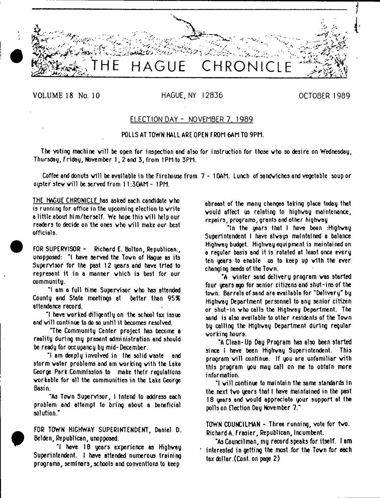**HAGUE CHRONICLE** 

VOLUME 18 No. 10 HAGUE, NY 12836 CONTROLLER 1989

# ELECTION DAY - NOVEMBER 7. 1989

# POLLS AT TOWN HALL ARE OPEN FROM 6AM TO 9PM.

The voting machine will be open for inspection and also for instruction for those who so desire on Wednesday, Thursday, Friday, November 1, 2 and 3, from 1 PM to 3PM.

Coffee and donuts will be available in the Firehouse from 7 - 10AM. Lunch of sandwiches and vegetable soup or ouster stew will be served from  $11:30$ AM - 1PM.

THE HAGUE CHRONICLE has asked each candidate vho is running for office in the upcoming election to write a little about him/herself. We hope this will help our readers to decide on the ones who will make our best officials.

FOR SUPERVISOR - Richard E. Bolton, Republican., unopposed: "I have served the Tovn of Hague as its Supervisor for the past 12 years and have tried to represent it in a manner vhich is best for our community.

"I am a full time Supervisor vho has attended County and State meetings at better than 95% attendance record.

"I have vorked diligently on the school tax issue and will continue to do so until it becomes resolved.

The Community Center project has become a reality during my present administration and should be ready for occupancy by mid-December.

"I am deeply involved in the solid vaste and storm vater problems and am working with the Lake George Park Commission to make their regulations vorkeble for all the communities in the Lake George Basin.

"As Town Supervisor, 1 intend to address each problem and attempt to bring about a beneficial solution."

FOR TOWN HIGHWAY SUPERINTENDENT, Daniel D. Bel den, Republican, unopposed.

-l have 18 years experience as Highvey Superintendent. I have attended numerous training programs, seminars, schools and conventions to keep

abreast of the many changes taking piece today that vould affect us relating to hiQhvay maintenance, repairs, programs, grants and other highvey

"In the years that I have been :Highway Superintendent I have alvays maintained a balance Highway budget. Highvey equipment is maintained on a regular basis and it is rotated at least once every ten years to enable us to keep up with the ever changing needs of the Tovn.

"A winter sand delivery program was started four wears ago for senior citizens and shut-ins of the tovn. Barrels of sand are available for "Delivery" by Highvey Department personnel to any senior citizen or shut-in vho cells the Highvey Department. The sand is also available to other residents of the Tovn by calling the Highway Department during regular working hours.

"A Clean-Up Day Program has also been started since I have been Highway Superintendent. This program will continue. If you are unfamiliar with this program you may call on me to obtain more information.

 $\ddot{}$  ivill continue to maintain the same standards in the next two years that I have maintained in the past 18 years and vould appreciate your support at the polls on Election Day November 7."

TOWN COUNCILMAN - Three running, vote for two. Richard A. Frasier, Republican, Incumbent.

"As Councilman, my record speaks for itself. I am interested in getting the most for the Town for each tax doller.(Cont. on page 2)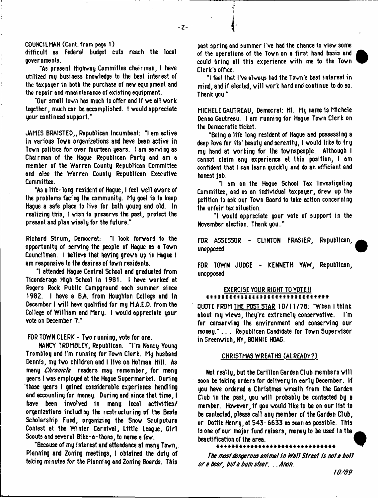$-7-$ 

COUNCILMAN (Cont. from page 1)

difficult as Federal budget cuts reach the local governments.

"As present Highway Committee chairman, I have utilized my business knowledge to the best interest of the taxpayer in both the purchase of new equipment and the repair and mnaintenance of existing equipment.

"Our small town has much to offer and if we all work. together, much can be accomplished. I vould appreciate your continued support."

JAMES BRAISTED,, Republican Incumbent: "I am active in various Tovn organizations snd have been active in Tovn politics for over fourteen years. I am serving as Chairman of the Hague Republican Party and am a member of the Warren County Republican Committee and also the Warren County Republican Executive Committee.

"As a life-long resident of Hague, I feel veil avare of the problems facing the community. My goal is to keep Hague a safe place to live for both young and old. In realizing this, I vish to preserve the past, protect the present and plan visely for the future."

Richard Strum, Democrat: "I look forvard to the opportunity of serving the people of Hague as a Tovn Councilman. I believe that having grovn up In Hague I am responsive to the desires of tovn residents.

\*1 attended Hague Central School and graduated from Ticonderoga High School in 1961. I have vorked at Rogers Rock Public Campground each summer since 1982. I have a BA from Houghton College and in December I will have qualified for my M.A.E.D. from the College of William and Mary. I vould appreciate your vote on December 7."

FOR TOWN CLERK - Two running, vote for one.

tWNCY TROMBLEY, Republican. "I'm Nancy Young Trombley and I'm running for Tovn Clerk. My husband Dennis, my tvo children and I live on Holman Hill. As many *Chronicle* readers may remember, for many years I vas employed at the Hague Supermarket. During 'those years t gained considerable experience handling and accounting for money. During end. si nee that time, I have been involved in many local activities/ organizations including the restructuring of the Beste Scholarship Fund, organizing the Snov Sculputure Contest at the Winter Carnival, Little League, Girl Scouts and several Bike-a-thons, to name a few.

"Because of my interest and attendance at many Tovn,. Planning and Zoning meetings, I obtained the duty of taking minutes for the Planning and Zoning Boards. This

past spring and summer I've had the chance to vlev some of the operations of the Town on a first hand basis and could bring all this experience with me to the Town Clerk's office.



"I feel that I've always had the Town's best interest in mind, and if elected, will work hard and continue to do so. Thank you."

MICHELE GAUTREAU, Democrat: Hi. My name 1s Michele Denno Gautreau. I am running for Hague Tovn Clerk on the Democratic ticket.

"Being a life long resident of Hague and possessing a deep love for its' beauty and serenity, I would like to try my hand at working for the townspeople. Although I cannot claim any experience at this position, I am confident that I can learn quickly and do an efficient and honest job.

"I am on the Hague School Tax Investigating Committee, and as an individual taxpayer, drew up the petition to ask our Tovn Board to take ectlon concerning the unfair tax situation.

"I vould appreciate your vote of support in the November election. Thank you.."

FOR ASSESSOR - CLINTON FRASIER, Republican, unopposed

FOR TOWN JUDGE - KENNETH YAW, Republican, unopposed

## EXERCISE YOUR RIGHT TO VOTE!! \* \* \* \* \* \* \* \* \* \* \* \* \* \* \* \* \* \* \* \* \* \* \* \* \* \* \* \* \* \* \* \*

QUOTE FROM THE POST STAR 10/11/78: "When I think about my views, they're extremely conservative. I'm for conserving the environment and conserving our money.".. . Republican Candidate for Tovn Supervisor in Greenwich, NY, BONNIE HOAG.

## CHRISTMAS WREATHS (ALREADY?)

Not really, but the Carillon Garden Club members will soon be taking orders for delivery in early December. If you have ordered a Christmas vreath from the Garden Club in the past, you will probably be contacted by a member. However, if you vould like to be on our list to be contacted, please call any member of the Garden Club, or Dottie Henry,at 543-6633 assoonas possible. This is one of our major fund raisers, money to be used in the beautification of the area.

*The most dangerous animal in Wall Street is note hull or e hear, hut a hum steer,* .. *Anon.*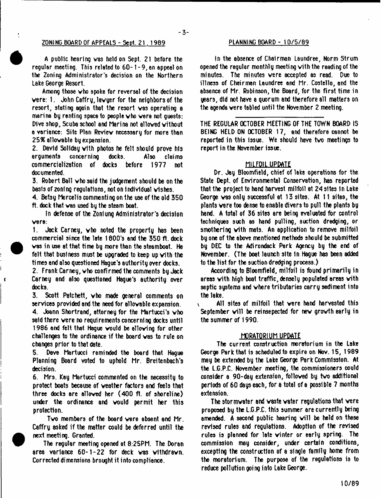### **ZONING BOARD OF APPEALS - Sept. 2 1 . 1969**

A public hearing vas held on Sept. 21 before the regular meeting. This related to 60-1-9, an appeal on the Zoning Administrator's decision on the Northern take George Resort.

Among those vho spoke for reversal of the decision vere: 1. John Caffry, lavyer for the neighbors of the resort, stating again that the resort was operating a marina by renting space to people vho vere not guests: Dive shop, Scuba school and Marina not allowed without a variance: Site Plan Review necessary for more than *2S%* allowable by expansion.

2. David Sollday with photos he felt should prove his arguments concerning docks. Also commercialization of docks before 1977 not documented.

3. Robert Ball vho said the judgement should be on the basis of zoning regulations, not on Individual wishes.

4. Betsy Mercelis commenting on the use of the old 350 ft. dock that was used by the steam boat.

In defense of the Zoniung Administrator's decision vere:

1. Jack Carney, vho noted the property has been commercial since the late 1800's and the 350 ft. dock was in use at that time by more than the steamboat. He felt that business must be upgraded to keep up with the times and also questioned Hague's authority over docks.

2. FrankCarney, vho confirmed the comments by Jack Carney and also questioned Hague's authority over docks.

3. Scott Patchett, vho made general comments on services provided end the need for allowable expansion.

4. Joann Shortrand, attorney for the Martucci's vho said there vere no requirements concerning docks until 1986 and felt that Hague would be allowing for other challenges to the ordinance if the board was to rule on changes prior to that date.

5. Dave Martucci reminded the board that Hague Planning Board voted to uphold Mr. Breitenbach's decision.

6. Mrs. Kay Martucci commented on the necessity to protect boats because of weather factors and feels that three docks are allowed her (400 ft. of shoreline) under the ordinance and vould permit her this protection.

Tvo members of the board vere absent end Mr. Caffry 8sked if the matter could be deferred until the next meeting. Granted.

The regular meeting opened at 8:25PM. The Doran area variance 60-1-22 for deck was withdrawn. Corrected di mensions brought it i nto compliance.

#### **PLANNING BOARD - 10/5/89**

tn the absence of Chairman Laundree, Norm Strum opened the regular monthly meeting vith the reading of the minutes. The minutes vere accepted as read. Due to illness of Chairman Laundree and Mr. Costello, and the absence of Mr. Robinson, the Board, for the first time in years, did not have a quorum and therefore all matters on the agenda vere tabled until the November 2 meeting.

THE REGULAR OCTOBER MEETING OF THE TOWN BOARD IS BEING HELD ON OCTOBER 17, and therefore cannot be reported in this issue. We should have tvo meetings to report in the November issue.

### MILFOIL UPDATE

Dr. Jay Bloomfield, chief of lake operations for the State Dept, of Environmental Conservation, has reported that the project to hand harvest milfoil 8t 24 sites In Lake George was only successful at 13 sites. At 11 sites, the plants vere too dense to enable divers to pull the plants by hand. A total of 36 sites are being evaluated for control techniques such es hand pulling, suction dredging, or smothering vith mats. An application to remove milfoil by one of the above mentioned methods should be submitted by DEC to the Adirondack Park Agency by the end of November. (The boat launch site In Hague has been added to the list for the suction dredging process.)

According to Bloomfield, milfoil is found primarily in areas vith high boat traffic, densely populated areas vith septic systems and where tributaries carry sediment into the lake.

All sites of milfoil that vere hand harvested this  $\mathbf{r}$ September will be reinsepected for new growth early in the summer of 1990.

### MORATORIUM UPDATE

The current construction moratorium in the Lake George Park that is scheduled to expire on Nov. 15, 1989 may be extended by the Lake George Park Commission. At the L.G.P.C. November meeting, the commissioners could consider a 90-day extension, followed by two additional periods of 60 ddys each, for a total of 8 possible 7 months extension.

The stormvater and vaste water regulations that were proposed by the L.G.P.C. this summer are currently being amended. A second public hearing will be held on these revised rules and regulations. Adoption of the revised rules is planned for late vinter or early spring. The commission may consider, under certain conditions, excepting the construction of a single family home from the moratorium. The purpose of the regulations is to reduce pollution going into Lake George.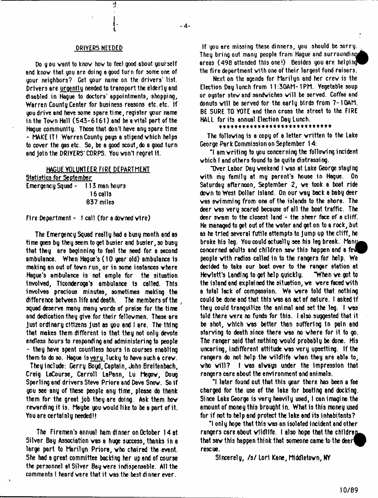## DRIVERS NEEDED

۱ļ

Do you want to know how to feel good about yourself and know that you ore doing a good turn for some one of your neighbors? Get your name on the drivers' list. Drivers are uroentlu needed to transport the elderly and disabled in Hague to doctors' appointments, shopping, Warren County Center for business reasons etc. etc. If you drive and have some spare time, register your name in the Tovn Hall (543-6161) and be a vital part of the Hague community. Those that don't have any spare time - MAKE IT! Warren County pays a stipend vhich helps to cover the gas etc. So, be a good scout, do a good turn and Join the DRIVERS' CORPS. You vont regret It.

### HAGUE VOLUNTEER FIRE DEPARTMENT

| <u> Statistics for September</u> |             |
|----------------------------------|-------------|
| Emergency Squad - 113 man hours  |             |
|                                  | 16 calls    |
|                                  | $637$ miles |

#### Fire Department - 1 call (for sdovned vlre)

The Emergency Squad really had a busy month and as time goes by they seem to get busier and busier, so busy that they are beginning to feel the need for a second ambulance. When Haque's (10 year old) ambulance is making on out of tovn run, or in some instances vhere Hague's ambulance is not ample for the situation Involved, Tlconderoga's ambulance Is called. This involves precious minutes, sometimes making the difference between life and death. The members of the , squad deserve many many vords of praise for the time ami dedication they give for their fellovmen. These are just ordinary citizens Just as you and I are. The thlnQ that makes them different is that they not only devote endless hours to responding and administering to people - they have spent countless hours in courses enabling them to do so. Hague is very lucky to have such a crew.

They include: Gerry Boyd, Captain, John Breitenbach, Craig LeCourse, Carroll LaPann, Lu Megov, Doug Sperling and drivers Steve Priore and Dave Snov. So if you see any of these people any time, please do thank them for the great job they are doing. Ask them hov rewarding it is. Maybe you would like to be a part of it. You are certainly needed!!

The Firemen's annual ham dinner on October 14 at Silver Bay Association vas a huge success, thanks in a large part to Marilyn Priore, vho chaired the event. Ste had a great committee backing her up end of course the personnel at Silver Bay vere indispensable. All the comments I heard vere that it vas the best dinner ever.

If you are missing these dinners, you should be sorry. They bring out many people from Hague and surrounding^ areas (498 attended this one!) Besides you are helping the fire department vith one of their largest fund reisers.

Next on the agenda for Marilyn and her crev is the Election Day lunch from 11:30AM-1PM. Vegetable soup or oyster stew and sandwiches will be served. Coffee and donuts will be served for the early birds from 7-10AM. BE SURE TO VOTE and then cross the street to the FIRE HALL for its annual Election Day Lunch.

#### \* \* \* \* \* \* \* \* \* \* \* \* \* \* \* \* \* \* \*

The following is a copy of a letter written to the Lake George Park Commission on September 14:

"I am writing to you concerning the following incident vhich I and others found to be quite distressing.

"Over Labor Day weekend I vas at L8ke George staying vith my family at my parent's house in Hogue. On Saturday afternoon, September 2, ve took a boat ride dovn to West Dollar Island. On our way back a baby deer vas swimming from one of the islands to the shore. The deer vas very scared because of all the boat traffic. The deer svom to the closest land - the sheer face of a cliff. He managed to get out of the vater and get on to a rock, but as he tried several futile attempts to Jump up the cliff, he broke his leg. You could actually see his leg break. Many concerned adults and children saw this happen and a few people vith radios called In to the rangers for help. We decided to take our boat over to the renger station at Hewlett's Landing to get help quickly. "When ve got to the island and explained the situation, ve vere faced vith a total lack of compassion. We were told that nothing could be done and that this vas an act of nature, t asked If they could tranquilize the animal and set the leg. t vas told there vere no funds for this. I also suggested that it be shot, vhich vas better than suffering in pain and starving to death since there vas no vhere for it to go. The ranger said that nothing vould probably be done. His uncaring, indifferent attitude vas yery upsetting. If the rangers do not help the vildlife when they are able to, vho vill? t vas alvays under the Impression that rangers care about the environment end animals.

"I later found out that this year there has been a fee charged for the use of the lake for boating and docking. Since Lake George is vary heavily used, I can imagine the amount of money this brought in. What is this money used for if not to help and protect the lake and its inhabitants?

"I only hope that this vss an isolated incident and other  $r$ angers care about wildlife. I also hope that the children that saw this happen think that someone came to the deer  $\theta$ rescue.

Sincerely, /s/ Lori Kane, Middletovn, NY

 $-4-$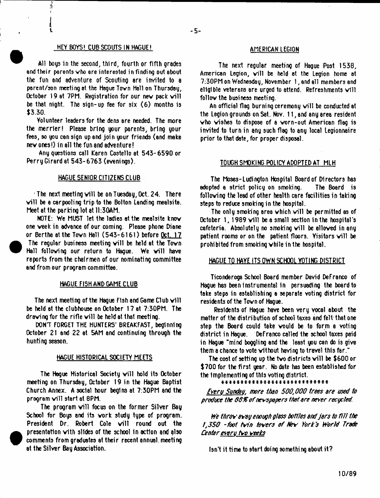## HEY BOYS! CUB SCOUTS IN HAGUE!

J

₹

All boys in the second, third, fourth or fifth grades and their parents vho are interested in finding out about the fun and adventure of Scouting are invited to a parent/son meeting at the Hague Tovn Hall on Thursday, October 19 at 7PM. Registration for our new pack will be that night. The sign-up fee for six (6) months is \$3.30.

Volunteer leaders for the dens are needed. The more the merrier! Please bring your parents, bring your fees, so you can sign up and join your friends (and make nev ones!) in all the fun and adventure!

Any questions call Karen Costello at 543-6590 or Perry Girard at 543-6763 (evenings).

#### HAGUE SENIOR CITIZENS CLUB

The next meeting will be on Tuesday, Oct. 24. There will be a carpooling trip to the Bolton Lending mealsite. Meet at the parking lot at 11:30AM.

 $NOTE: We MUST$  let the ladies at the mealsite know one veek in advance of our coming. Please phone Diane or Bertha at the Tovn Hell (543-6161) before Oct. 17 The regular business meeting will be held at the Town Hall following our return to Hague. We will have reports from the chairmen of our nominating committee end from our program committee.

## HAGUE FISH AND GAME CLUB

 $\bullet$ 

 $\bullet$ 

The next meeting of the Hague Fish and Game Club will be held at the clubhouse on October 17 at 7:30PM. The drawing for the rifle will be held at that meeting.

DON'T FORGET THE HUNTERS' BREAKFAST, beginning October 21 and 22 at 5AM and continuing through the hunting season.

# HAGUE HISTORICAL SOCIETY MEETS

The Hague Historical Society will hold its October meeting on Thursday, October 19 in the Hague Baptist Church Annex. A social hour begins at 7:30PM and the program will start at 8PM.

The program will focus on the former Silver Bay School for Boys and its vork study type of program. President Dr. Robert Cole will round out the presentation vith slides of the school In action and also comments from graduates at their recent annual meeting at the Silver Bay Association.

## AMERICAN LEGION

The next regular meeting of Hague Post 1538, American Legion, will be held at the Legion home at 7:30PM on Wednesday, November 1, and all members and eligible veterans are urged to attend. Refreshments will follov the business meeting.

An official flag burning ceremony will be conducted at the Legion grounds on Sat. Nov. 11, end 8ny area resident vho wishes to dispose of a vorn-out American flog is invited to turn in any such flag to any local Legionnaire prior to that date, for proper disposal.

#### TOUGH SMOKING POLICY ADOPTED AT MLH

The Moses-Ludington Hospital Board of Directors has adopted a strict policy on smoking. The Board is following the lead of other health care facilities in taking steps to reduce smoking in the hospital.

The only smoking ares vhich vill be permitted as of October 1, 1989 will be a small section in the hospital's cafeteria. Absolutely no smoking vill be alloved in any patient rooms or on the patient floors. Visitors will be prohibited from smoking vhile in the hospital.

# HAGUE TO HAYE ITS OWN SCHOOL VOTING DISTRICT

Ticonderoga School Board member David DeFranco of Hague has been instrumental in persuading the board to take steps in establishing a separate voting district for residents of the Tovn of Hague.

Residents of Hague have been very vocal about the matter of the distribution of school taxes end felt that one step the Board could take vould be to form a voting district in Hague. DeFranco called the school taxes paid in Hague "mind boggling and the least you can do is give them a chance to vote vlthout having to travel this far."

The cost of setting up the two districts will be \$600 or \$700 for the first year. No date has been established for the Implementing of this voting district.

#### \* \* \* \* \* \* \* \* \* \* \* \* \* \* \* \* \* \* \* \* \* \* \* \* \* \* \* \*

*Cveru Sunday, more Um 500,000 trees ere used to produce the 66%of newspapers ihst ere never recycled.*

*We throv evrey enough gfess hottfes end jers to O il the 1,350 -foot fain toners of he\*' fork's World Trede Center every t\*o veeks*

Isn't it time to start doing something about it?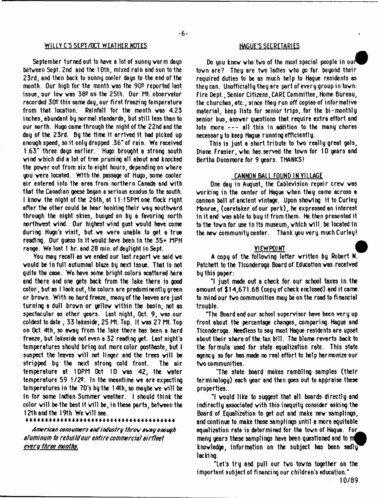# WILLY C'S SEPT/OCT WEATHER NOTES FOR THE MAGUE'S SECRETARIES

September turned out to have a lot of sunny warm days between Sept. 2nd and the 10th, mixed rain and sun to the 23rd, and then back to sunny cooler days to the end of the month. Our high for the month was the 90<sup>°</sup> reported last issue, our low was 38º on the 25th. Our Mt. observator recorded  $30<sup>°</sup>$  this same day, our first freezing temperature from that location. Rainfall for the month vas 4.23 inches, abundant by normal standards, but still less than to our north. Hugo came through the night of the 22nd and the day of the 23rd. By the time 1t arrived It had picked up enough speed, so it only dropped .36" of rain. We received 1.63" three (toys earlier. Hugo brought a strong south wind which did a lot of tree pruning all about and knocked the pover out from six to eight hours, depending on vhere you vere located. With the passage of Hugo, some cooler air entered into the area from northern Canada and vith that the Canadian geese began a serious exodus to the south. I knov the night of the 26th, at 11:15PM one flock right after the other could be hear honking their vey southvard through the night skies, buoyed on by a favoring north northvest vind. Our highest vind gust vould have come during Hugo's visit, but ve vere unable to get a true reading. Our quess is it would have been in the 35+ MPH range. We lost 1 hr. and 28 min. of daylight in Sept.

You may recall as ve ended our last report ve said ve vould be In full autumnal blaze by next Issue. That Is not quite the esse. We have some bright colors scattered here and there and one gets back from the lake there is oood color, but os I look out, the colors are predominently green or brovn. With no hard freeze, many of the leaves are just turning a dull brovn or yellov vithin the basin, not as spectacular as other years. Last night, Oct. 9, vas our coldest to date , 33 lakeside, 25 Mt. Top. It vas 27 Mt. Top on Oct 4th, so avay from the lake there has been 8 hard freeze, but lakeside not even a 32 reading yet. Last night's temperatures should bring out more color posthaste, but I suspect the leaves will not linger and the trees will be stripped by the next strong cold front. The air temperature at 10PM Oct 10 vas 42, the vater temperature 59  $1/2<sup>2</sup>$ . In the meantime we are expecting temperatures in the 70's by the 14th, so maybe we will be In for some Indian Summer veather. I should think the color will be the best it will be, in these parts, between the 12th and the 19th We will see.

\*\*\*\*\*\*\*\*\*\*\*\*\*\*\*\*\*\*\*\*\*\*\*\*\*\*\*\*\*\*\*\*\*\*\*\*

*American consumers end industry throv svsy enough aluminum to rebuild our entire commercial airfleet evero three months.*

Do you know who two of the most special people in our town are? They are two ladies who go far beyond their required duties to be as much help to Hague residents as they can. Unofficially they are part of every group in tovn: Fire Dept., Senior Citizens, CARE Committee, Home Bureau, the churches, etc., since they run off copies of informative material, keep lists for senior trips, for the bi-monthly senior bus, ansver questions that require extra effort and lots more  $---$  all this in addition to the many chores necessary to keep Hague running efficiently.

This is just a short tribute to tvo really great gals, Diane Frasier, vho has served the tovn for 10 years and Bertha Dunsmore for 9 years. THANKS!

#### CANNON BALL FOUND IN VILLAGE

One day in August, the Cablevision repair crev vas working in the center of Hague when they came across a cannon ball of ancient vintage. Upon shoving it to Curley Monroe, (caretaker of our park), he expressed an Interest in it and vas able to buy it from them. He then presented it to the town for use in its museum, which will be located in the nev community center. Thank you very much Curley!

#### VIEWPOINT

A copy of the folloving letter vritten by Robert N. Patchett to the Ticonderoga Board of Education vas received by this paper:

"I just made out a check for our school taxes in the amount of \$14,671.68 (copy of check enclosed) and it came to mind our tvo communities may be on the road to financial trouble.

"The Board and our school supervisor have been very up front about the percentage changes, comparing Hague and T1conderog8. Needless to say most Hague residents are upset about their share of the tax bill. The blame reverts back to the formula used for state equalization rate. This state agency so far has made no real effort to help harmonize our tvo communities.

The state board makes rambling samples (their terminology) each year and then goes out to appraise these properties.

"I vould like to suggest that all boards directly and indirectly associated vith this inequity consider asking the Board of Equalization to get out and make nev samplings, and continue to make those samplings until a more equitable equalization rate is determined for the town of Hague. For many years these samplings have been questioned and to knowledge, information on the subject has been sadlu lacking.

"Let's try and pull our tvo tovns together on the important subject of financing our children's education."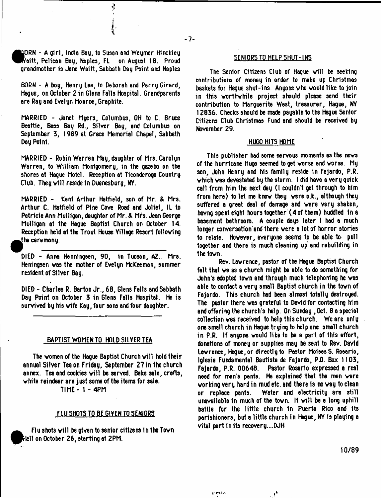)RN - A girl, India Bag, to Susan and Weymer Hinckley sitt, Pelican Bay, Naples, FL on August 18. Proud grandmother is Jane Waitt, Sabbath Day Point and Naples

BORN - A boy, Henry Lee, to Deborah end Perry Girard, Hague, on October 2 in Glens Falls Hospital. Grandparents are Ray and Evelyn Monroe, Graphite.

MARRIED - Janet Myers, Columbus, OH to C. Bruce Beattie, Bass Bay Rd., Silver Bay, and Columbus on September 3, 1989 at Grace Memorial Chapel, Sabbath Day Point.

MARRIED - Robin Warren May, daughter of Mrs. Carolyn Warren, to William Montgomery, in the gazebo on the shores at Hague Motel. Reception at Ticonderoga Country Club. They will reside in Duanesburg, NY.

MARRIED - Kent Arthur Hatfield, son of Mr. & Mrs. Arthur C. Hatfield of Pine Cove Road and Joliet, IL to Patricia Ann Mulligan, daughter of Mr. & Mrs. Jean George Mulligan at the Hague Baptist Church on October 14. Reception held at the Trout House Yillage Resort fblloving  $t$ he ceremony.

DIED - Anna Henningsen, 90, in Tucson, AZ. Mrs. Heningsen vas the mother of Evelyn McKeeman, summer resident of Silver Bay.

DIED - Charles R. Barton Jr., 68, Glens Falls and Sabbath Day Point on October 3 in Glens Falls Hospital. He is survived by his vife Kay, four sons and four daughter.

# BAPTIST WOMEN TO HOLD SILVER TEA

The women of the Hague Baptist Church will hold their annual Silver Tea on Friday, September 27 in the church annex. Tea and cookies will be served. Bake sale, crafts, white reindeer are just some of the items for sale.

TIME - 1 - 4PM

## FLU SHOTS TO BE GIVEN TO SENIORS

Flu shots will be given to senior citizens in the Town I^Prtell on October 26, starting at 2PM.

#### SENIORS TO HELP SHUT-INS

The Senior Citizens Club of Hague will be seeking contributions of money in order to make up Christmas baskets for Hague shut-ins. Anyone vho vould like to join in this worthwhile project should please send their contribution to Marguerite West, treasurer, Hague, NY 12836. Checks should be made payable to the Hague Senior Citizens Club Christmas Fund and should be received by November 29.

#### HUGO HITS HOME

This publisher had some nervous moments as the news of the hurricane Hugo seemed to get worse and worse. My son, John Henry and his family reside in Fajardo, P.R. vhich vas devastated by the storm. I did have a very quick call from him the next bag (I couldn't get through to him from here) to let me knov they vere o.k., although they suffered a great deal of damage and vere very shaken, having spent eight hours together (4 of them) huddled in a basement bathroom. A couple days later I had a much longer conversation'and there were a lot of horror stories to relate. However, everyone seems to be able to pull together and there is much cleaning up and rebuilding in the tovn.

Rev. Lawrence, pastor of the Hague Baptist Church fait that ve as a church might be able to do something for John's adopted tovn and through much telephoning he vas able to contact a very small Baptist church in the town of Fajardo. This church had been almost totally destroyed. The pastor there vas grateful to David for contacting him and offering the church's help. On Sunday , Oct. 8 a special collection vas received to help this church. We are only one small church in Hague trying to help one small church in P.R. If anyone would like to be a part of this effort, donations of money or supplies may be sent to Rev. David Lawrence, Hague, or directly to Pastor Moists S. Rosario, Iglesia Fundamental Bautista de Fajardo, Pi). Box 1103, Fajardo, P.R. 00648. Pastor Rosario expressed a real need for men's pants. He explained that the men vere working very hard in mud etc. and there is no vay to clean or replace pants. Water and electricity are still unavailable in much of the town. It will be a long uphill battle for the little church 1n Puerto Rico and Its parishioners, but a little church in Hague, NY is playing a vital part in its recovery....DJH

person

10/89